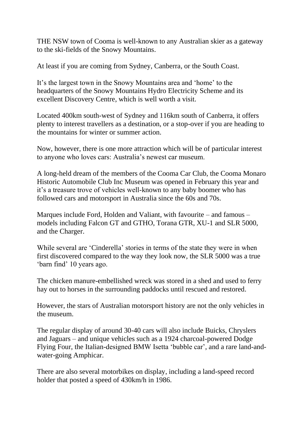THE NSW town of Cooma is well-known to any Australian skier as a gateway to the ski-fields of the Snowy Mountains.

At least if you are coming from Sydney, Canberra, or the South Coast.

It's the largest town in the Snowy Mountains area and 'home' to the headquarters of the Snowy Mountains Hydro Electricity Scheme and its excellent Discovery Centre, which is well worth a visit.

Located 400km south-west of Sydney and 116km south of Canberra, it offers plenty to interest travellers as a destination, or a stop-over if you are heading to the mountains for winter or summer action.

Now, however, there is one more attraction which will be of particular interest to anyone who loves cars: Australia's newest car museum.

A long-held dream of the members of the Cooma Car Club, the Cooma Monaro Historic Automobile Club Inc Museum was opened in February this year and it's a treasure trove of vehicles well-known to any baby boomer who has followed cars and motorsport in Australia since the 60s and 70s.

Marques include Ford, Holden and Valiant, with favourite – and famous – models including Falcon GT and GTHO, Torana GTR, XU-1 and SLR 5000, and the Charger.

While several are 'Cinderella' stories in terms of the state they were in when first discovered compared to the way they look now, the SLR 5000 was a true 'barn find' 10 years ago.

The chicken manure-embellished wreck was stored in a shed and used to ferry hay out to horses in the surrounding paddocks until rescued and restored.

However, the stars of Australian motorsport history are not the only vehicles in the museum.

The regular display of around 30-40 cars will also include Buicks, Chryslers and Jaguars – and unique vehicles such as a 1924 charcoal-powered Dodge Flying Four, the Italian-designed BMW Isetta 'bubble car', and a rare land-andwater-going Amphicar.

There are also several motorbikes on display, including a land-speed record holder that posted a speed of 430km/h in 1986.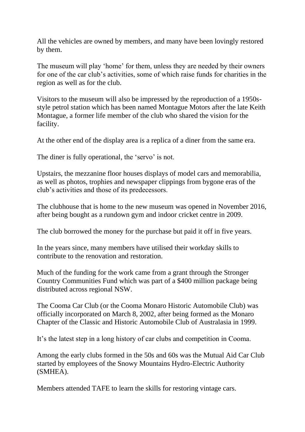All the vehicles are owned by members, and many have been lovingly restored by them.

The museum will play 'home' for them, unless they are needed by their owners for one of the car club's activities, some of which raise funds for charities in the region as well as for the club.

Visitors to the museum will also be impressed by the reproduction of a 1950sstyle petrol station which has been named Montague Motors after the late Keith Montague, a former life member of the club who shared the vision for the facility.

At the other end of the display area is a replica of a diner from the same era.

The diner is fully operational, the 'servo' is not.

Upstairs, the mezzanine floor houses displays of model cars and memorabilia, as well as photos, trophies and newspaper clippings from bygone eras of the club's activities and those of its predecessors.

The clubhouse that is home to the new museum was opened in November 2016, after being bought as a rundown gym and indoor cricket centre in 2009.

The club borrowed the money for the purchase but paid it off in five years.

In the years since, many members have utilised their workday skills to contribute to the renovation and restoration.

Much of the funding for the work came from a grant through the Stronger Country Communities Fund which was part of a \$400 million package being distributed across regional NSW.

The Cooma Car Club (or the Cooma Monaro Historic Automobile Club) was officially incorporated on March 8, 2002, after being formed as the Monaro Chapter of the Classic and Historic Automobile Club of Australasia in 1999.

It's the latest step in a long history of car clubs and competition in Cooma.

Among the early clubs formed in the 50s and 60s was the Mutual Aid Car Club started by employees of the Snowy Mountains Hydro-Electric Authority (SMHEA).

Members attended TAFE to learn the skills for restoring vintage cars.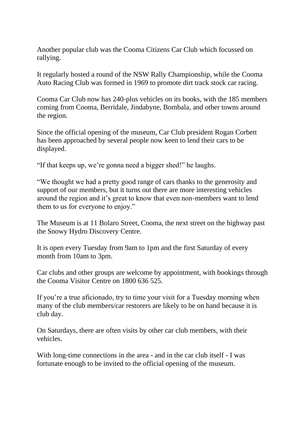Another popular club was the Cooma Citizens Car Club which focussed on rallying.

It regularly hosted a round of the NSW Rally Championship, while the Cooma Auto Racing Club was formed in 1969 to promote dirt track stock car racing.

Cooma Car Club now has 240-plus vehicles on its books, with the 185 members coming from Cooma, Berridale, Jindabyne, Bombala, and other towns around the region.

Since the official opening of the museum, Car Club president Rogan Corbett has been approached by several people now keen to lend their cars to be displayed.

"If that keeps up, we're gonna need a bigger shed!" he laughs.

"We thought we had a pretty good range of cars thanks to the generosity and support of our members, but it turns out there are more interesting vehicles around the region and it's great to know that even non-members want to lend them to us for everyone to enjoy."

The Museum is at 11 Bolaro Street, Cooma, the next street on the highway past the Snowy Hydro Discovery Centre.

It is open every Tuesday from 9am to 1pm and the first Saturday of every month from 10am to 3pm.

Car clubs and other groups are welcome by appointment, with bookings through the Cooma Visitor Centre on 1800 636 525.

If you're a true aficionado, try to time your visit for a Tuesday morning when many of the club members/car restorers are likely to be on hand because it is club day.

On Saturdays, there are often visits by other car club members, with their vehicles.

With long-time connections in the area - and in the car club itself - I was fortunate enough to be invited to the official opening of the museum.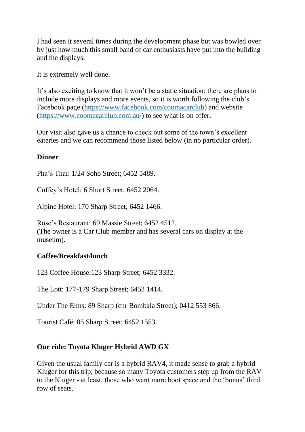I had seen it several times during the development phase but was bowled over by just how much this small band of car enthusiasts have put into the building and the displays.

It is extremely well done.

It's also exciting to know that it won't be a static situation; there are plans to include more displays and more events, so it is worth following the club's Facebook page [\(https://www.facebook.com/coomacarclub\)](https://www.facebook.com/coomacarclub) and website [\(https://www.coomacarclub.com.au/\)](https://www.coomacarclub.com.au/) to see what is on offer.

Our visit also gave us a chance to check out some of the town's excellent eateries and we can recommend those listed below (in no particular order).

## **Dinner**

Pha's Thai: 1/24 Soho Street; 6452 5489.

Coffey's Hotel: 6 Short Street; 6452 2064.

Alpine Hotel: 170 Sharp Street; 6452 1466.

Rose's Restaurant: 69 Massie Street; 6452 4512. (The owner is a Car Club member and has several cars on display at the museum).

## **Coffee/Breakfast/lunch**

123 Coffee House:123 Sharp Street; 6452 3332.

The Lott: 177-179 Sharp Street; 6452 1414.

Under The Elms: 89 Sharp (cnr Bombala Street); 0412 553 866.

Tourist Café: 85 Sharp Street; 6452 1553.

## **Our ride: Toyota Kluger Hybrid AWD GX**

Given the usual family car is a hybrid RAV4, it made sense to grab a hybrid Kluger for this trip, because so many Toyota customers step up from the RAV to the Kluger - at least, those who want more boot space and the 'bonus' third row of seats.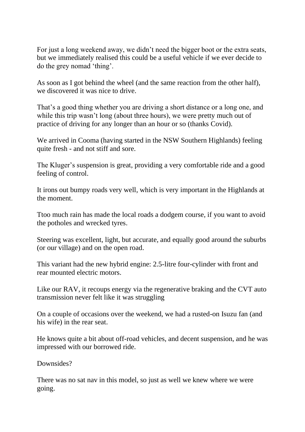For just a long weekend away, we didn't need the bigger boot or the extra seats, but we immediately realised this could be a useful vehicle if we ever decide to do the grey nomad 'thing'.

As soon as I got behind the wheel (and the same reaction from the other half), we discovered it was nice to drive.

That's a good thing whether you are driving a short distance or a long one, and while this trip wasn't long (about three hours), we were pretty much out of practice of driving for any longer than an hour or so (thanks Covid).

We arrived in Cooma (having started in the NSW Southern Highlands) feeling quite fresh - and not stiff and sore.

The Kluger's suspension is great, providing a very comfortable ride and a good feeling of control.

It irons out bumpy roads very well, which is very important in the Highlands at the moment.

Ttoo much rain has made the local roads a dodgem course, if you want to avoid the potholes and wrecked tyres.

Steering was excellent, light, but accurate, and equally good around the suburbs (or our village) and on the open road.

This variant had the new hybrid engine: 2.5-litre four-cylinder with front and rear mounted electric motors.

Like our RAV, it recoups energy via the regenerative braking and the CVT auto transmission never felt like it was struggling

On a couple of occasions over the weekend, we had a rusted-on Isuzu fan (and his wife) in the rear seat.

He knows quite a bit about off-road vehicles, and decent suspension, and he was impressed with our borrowed ride.

Downsides?

There was no sat nav in this model, so just as well we knew where we were going.